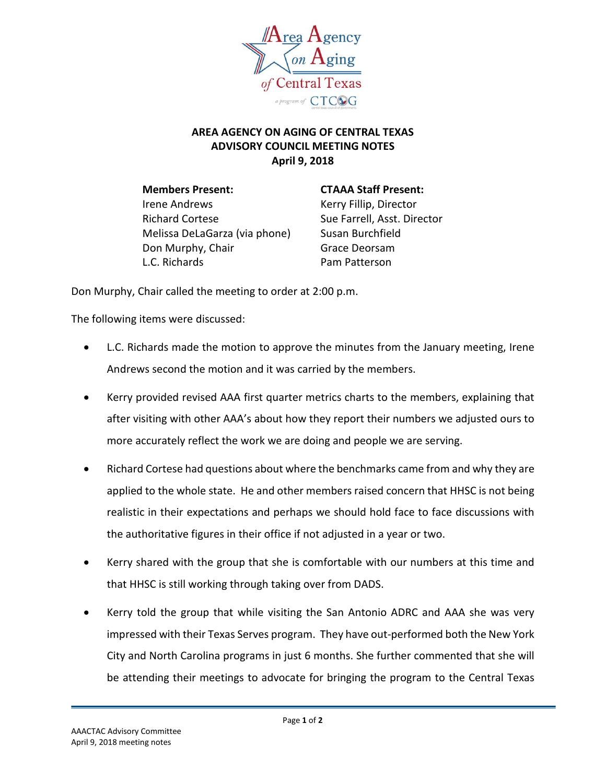

## **AREA AGENCY ON AGING OF CENTRAL TEXAS ADVISORY COUNCIL MEETING NOTES April 9, 2018**

**Members Present: CTAAA Staff Present:** Irene Andrews **Kerry Fillip, Director** Richard Cortese Sue Farrell, Asst. Director Melissa DeLaGarza (via phone) Susan Burchfield Don Murphy, Chair Grace Deorsam L.C. Richards **Pam Patterson** 

Don Murphy, Chair called the meeting to order at 2:00 p.m.

The following items were discussed:

- L.C. Richards made the motion to approve the minutes from the January meeting, Irene Andrews second the motion and it was carried by the members.
- Kerry provided revised AAA first quarter metrics charts to the members, explaining that after visiting with other AAA's about how they report their numbers we adjusted ours to more accurately reflect the work we are doing and people we are serving.
- Richard Cortese had questions about where the benchmarks came from and why they are applied to the whole state. He and other members raised concern that HHSC is not being realistic in their expectations and perhaps we should hold face to face discussions with the authoritative figures in their office if not adjusted in a year or two.
- Kerry shared with the group that she is comfortable with our numbers at this time and that HHSC is still working through taking over from DADS.
- Kerry told the group that while visiting the San Antonio ADRC and AAA she was very impressed with their Texas Serves program. They have out-performed both the New York City and North Carolina programs in just 6 months. She further commented that she will be attending their meetings to advocate for bringing the program to the Central Texas